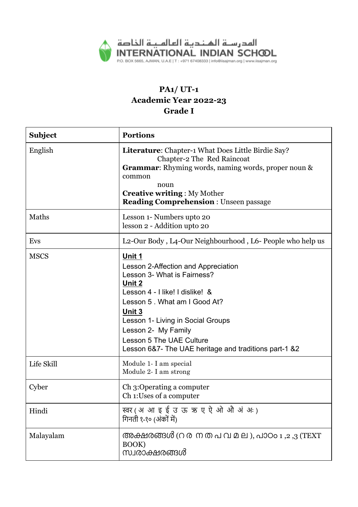

# **PA1/ UT-1 Academic Year 2022-23 Grade I**

| <b>Subject</b> | <b>Portions</b>                                                                                                                                                                                                                                                                                                       |
|----------------|-----------------------------------------------------------------------------------------------------------------------------------------------------------------------------------------------------------------------------------------------------------------------------------------------------------------------|
| English        | <b>Literature:</b> Chapter-1 What Does Little Birdie Say?<br>Chapter-2 The Red Raincoat<br><b>Grammar:</b> Rhyming words, naming words, proper noun &<br>common<br>noun<br><b>Creative writing: My Mother</b><br><b>Reading Comprehension: Unseen passage</b>                                                         |
| Maths          | Lesson 1- Numbers upto 20<br>lesson 2 - Addition upto 20                                                                                                                                                                                                                                                              |
| Evs            | L2-Our Body, L4-Our Neighbourhood, L6- People who help us                                                                                                                                                                                                                                                             |
| <b>MSCS</b>    | Unit 1<br>Lesson 2-Affection and Appreciation<br>Lesson 3- What is Fairness?<br>Unit 2<br>Lesson 4 - I like! I dislike! &<br>Lesson 5 . What am I Good At?<br>Unit 3<br>Lesson 1- Living in Social Groups<br>Lesson 2- My Family<br>Lesson 5 The UAE Culture<br>Lesson 6&7- The UAE heritage and traditions part-1 &2 |
| Life Skill     | Module 1- I am special<br>Module 2- I am strong                                                                                                                                                                                                                                                                       |
| Cyber          | Ch 3:Operating a computer<br>Ch 1: Uses of a computer                                                                                                                                                                                                                                                                 |
| Hindi          | स्वर (अआइई उऊ ऋए ऐ ओ औ अं अः)<br>गिनती १-१० (अंकों में)                                                                                                                                                                                                                                                               |
| Malayalam      | അക്ഷരങ്ങൾ (റ ര ന ത പ വ മ ല ), പാഠo 1 ,2 ,3 (TEXT<br>BOOK)<br>സ്വരാക്ഷരങ്ങൾ                                                                                                                                                                                                                                            |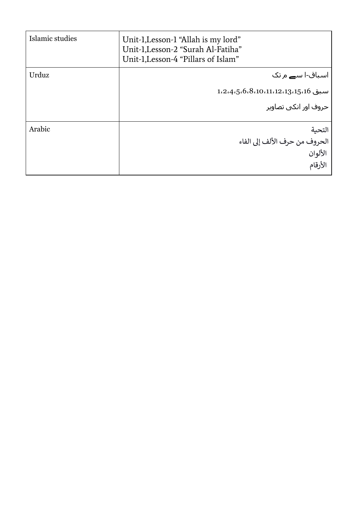| Islamic studies | Unit-1, Lesson-1 "Allah is my lord"<br>Unit-1, Lesson-2 "Surah Al-Fatiha"<br>Unit-1, Lesson-4 "Pillars of Islam" |
|-----------------|------------------------------------------------------------------------------------------------------------------|
| Urduz           | اسباق-ا س <b>ے</b> م تک<br>$1.2.4.5.6.8.10.11.12.13.15.16$ سبق 1،15،16<br>حروف اور انکی تصاویر                   |
| Arabic          | التحية<br>الحروف من حرف الألف إلى الفاء<br>الألوان<br>الأرقام                                                    |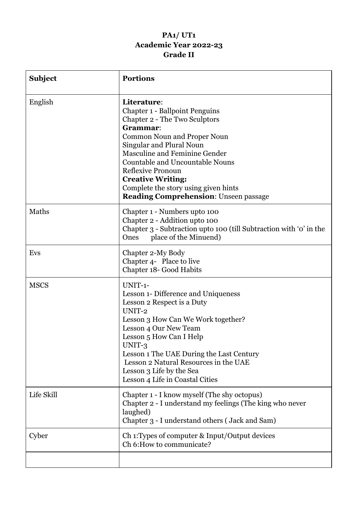# **PA1/ UT1 Academic Year 2022-23 Grade II**

| <b>Subject</b> | <b>Portions</b>                                                                                                                                                                                                                                                                                                                                                                                       |
|----------------|-------------------------------------------------------------------------------------------------------------------------------------------------------------------------------------------------------------------------------------------------------------------------------------------------------------------------------------------------------------------------------------------------------|
| English        | Literature:<br><b>Chapter 1 - Ballpoint Penguins</b><br>Chapter 2 - The Two Sculptors<br>Grammar:<br><b>Common Noun and Proper Noun</b><br>Singular and Plural Noun<br><b>Masculine and Feminine Gender</b><br><b>Countable and Uncountable Nouns</b><br><b>Reflexive Pronoun</b><br><b>Creative Writing:</b><br>Complete the story using given hints<br><b>Reading Comprehension: Unseen passage</b> |
| Maths          | Chapter 1 - Numbers upto 100<br>Chapter 2 - Addition upto 100<br>Chapter 3 - Subtraction upto 100 (till Subtraction with 'o' in the<br>place of the Minuend)<br>Ones                                                                                                                                                                                                                                  |
| Evs            | Chapter 2-My Body<br>Chapter 4- Place to live<br>Chapter 18- Good Habits                                                                                                                                                                                                                                                                                                                              |
| <b>MSCS</b>    | UNIT-1-<br>Lesson 1- Difference and Uniqueness<br>Lesson 2 Respect is a Duty<br>UNIT-2<br>Lesson 3 How Can We Work together?<br>Lesson 4 Our New Team<br>Lesson 5 How Can I Help<br>UNIT-3<br>Lesson 1 The UAE During the Last Century<br>Lesson 2 Natural Resources in the UAE<br>Lesson 3 Life by the Sea<br>Lesson 4 Life in Coastal Cities                                                        |
| Life Skill     | Chapter 1 - I know myself (The shy octopus)<br>Chapter 2 - I understand my feelings (The king who never<br>laughed)<br>Chapter 3 - I understand others (Jack and Sam)                                                                                                                                                                                                                                 |
| Cyber          | Ch 1: Types of computer & Input/Output devices<br>Ch 6: How to communicate?                                                                                                                                                                                                                                                                                                                           |
|                |                                                                                                                                                                                                                                                                                                                                                                                                       |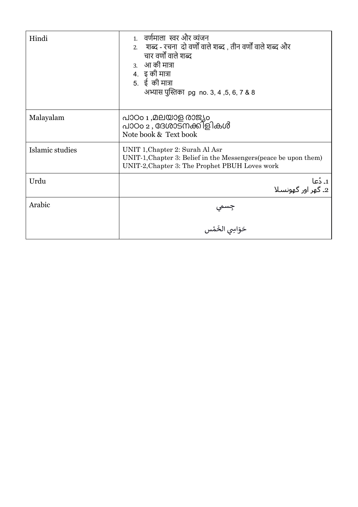| Hindi           | 1. वर्णमाला स्वर और व्यंजन<br>2.     शब्द - रचना  दो वर्णों वाले शब्द , तीन वर्णों वाले शब्द और<br>चार वर्णों वाले शब्द<br>3. आ की मात्रा<br>4. इकी मात्रा<br>5. ई की मात्रा<br>अभ्यास पुस्तिका pg no. 3, 4, 5, 6, 7 & 8 |
|-----------------|--------------------------------------------------------------------------------------------------------------------------------------------------------------------------------------------------------------------------|
| Malayalam       | പാഠം 1 ,മലയാള രാജ്യം<br>പാഠം 2 , ദേശാടനക്കിളികൾ<br>Note book & Text book                                                                                                                                                 |
| Islamic studies | UNIT 1, Chapter 2: Surah Al Asr<br>UNIT-1, Chapter 3: Belief in the Messengers (peace be upon them)<br>UNIT-2, Chapter 3: The Prophet PBUH Loves work                                                                    |
| Urdu            | 1۔ دُعا<br>2۔ گھر اور گھونسلا                                                                                                                                                                                            |
| Arabic          | جِسمي<br>ـ                                                                                                                                                                                                               |
|                 | حَوَاسِي الخَمْس                                                                                                                                                                                                         |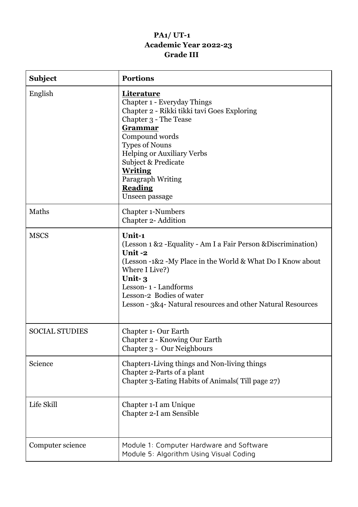# **PA1/ UT-1 Academic Year 2022-23 Grade III**

| <b>Subject</b>        | <b>Portions</b>                                                                                                                                                                                                                                                                                                |
|-----------------------|----------------------------------------------------------------------------------------------------------------------------------------------------------------------------------------------------------------------------------------------------------------------------------------------------------------|
| English               | Literature<br>Chapter 1 - Everyday Things<br>Chapter 2 - Rikki tikki tavi Goes Exploring<br>Chapter 3 - The Tease<br>Grammar<br>Compound words<br><b>Types of Nouns</b><br><b>Helping or Auxiliary Verbs</b><br>Subject & Predicate<br><b>Writing</b><br>Paragraph Writing<br><b>Reading</b><br>Unseen passage |
| Maths                 | <b>Chapter 1-Numbers</b><br>Chapter 2- Addition                                                                                                                                                                                                                                                                |
| <b>MSCS</b>           | Unit-1<br>(Lesson 1 & 2 - Equality - Am I a Fair Person & Discrimination)<br>Unit-2<br>(Lesson -1&2 -My Place in the World & What Do I Know about<br>Where I Live?)<br>Unit-3<br>Lesson-1 - Landforms<br>Lesson-2 Bodies of water<br>Lesson - 3&4- Natural resources and other Natural Resources               |
| <b>SOCIAL STUDIES</b> | <b>Chapter 1- Our Earth</b><br>Chapter 2 - Knowing Our Earth<br>Chapter 3 - Our Neighbours                                                                                                                                                                                                                     |
| Science               | Chapter1-Living things and Non-living things<br>Chapter 2-Parts of a plant<br>Chapter 3-Eating Habits of Animals (Till page 27)                                                                                                                                                                                |
| Life Skill            | Chapter 1-I am Unique<br>Chapter 2-I am Sensible                                                                                                                                                                                                                                                               |
| Computer science      | Module 1: Computer Hardware and Software<br>Module 5: Algorithm Using Visual Coding                                                                                                                                                                                                                            |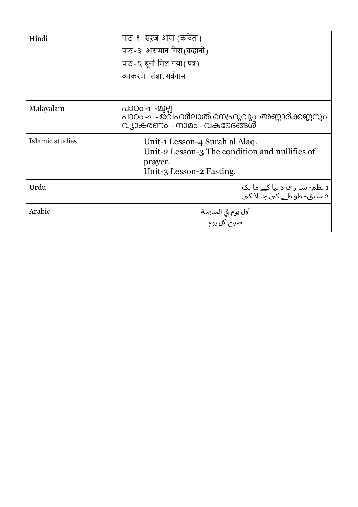| Hindi           | पाठ -१) सूरज आया (कविता )                                                                                               |
|-----------------|-------------------------------------------------------------------------------------------------------------------------|
|                 | पाठ - ३. आसमान गिरा (कहानी)                                                                                             |
|                 | पाठ - ६ ब्रूनो मिल गया (पत्र)                                                                                           |
|                 | व्याकरण - संज्ञा , सर्वनाम                                                                                              |
|                 |                                                                                                                         |
| Malayalam       | പാഠo -1 -മുല്ല<br>പാഠം -2 - ജവഹർലാൽ നെഹ്രുവും അണ്ണാർക്കണ്ണനും<br>വ്യാകരണം - നാമം - വകഭേദങ്ങൾ                            |
| Islamic studies | Unit-1 Lesson-4 Surah al Alaq.<br>Unit-2 Lesson-3 The condition and nullifies of<br>prayer.<br>Unit-3 Lesson-2 Fasting. |
| Urdu            | 1 نظم- سا ر ک د نیا کے ما لک<br>2 سيق- طوطے کي چا لا کي                                                                 |
| Arabic          | أول يوم في المدرسة<br>صباح كل يوم                                                                                       |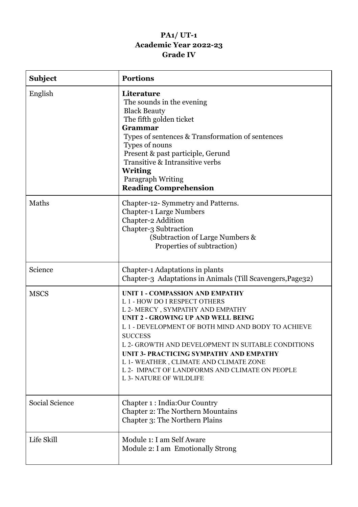# **PA1/ UT-1 Academic Year 2022-23 Grade IV**

| <b>Subject</b> | <b>Portions</b>                                                                                                                                                                                                                                                                                                                                                                                                                                                 |
|----------------|-----------------------------------------------------------------------------------------------------------------------------------------------------------------------------------------------------------------------------------------------------------------------------------------------------------------------------------------------------------------------------------------------------------------------------------------------------------------|
| English        | Literature<br>The sounds in the evening<br><b>Black Beauty</b><br>The fifth golden ticket<br>Grammar<br>Types of sentences & Transformation of sentences<br>Types of nouns<br>Present & past participle, Gerund<br>Transitive & Intransitive verbs<br><b>Writing</b><br>Paragraph Writing<br><b>Reading Comprehension</b>                                                                                                                                       |
| Maths          | Chapter-12- Symmetry and Patterns.<br><b>Chapter-1 Large Numbers</b><br>Chapter-2 Addition<br>Chapter-3 Subtraction<br>(Subtraction of Large Numbers &<br>Properties of subtraction)                                                                                                                                                                                                                                                                            |
| Science        | <b>Chapter-1 Adaptations in plants</b><br>Chapter-3 Adaptations in Animals (Till Scavengers, Page32)                                                                                                                                                                                                                                                                                                                                                            |
| <b>MSCS</b>    | <b>UNIT 1 - COMPASSION AND EMPATHY</b><br>L 1 - HOW DO I RESPECT OTHERS<br>L 2- MERCY, SYMPATHY AND EMPATHY<br><b>UNIT 2 - GROWING UP AND WELL BEING</b><br>L 1 - DEVELOPMENT OF BOTH MIND AND BODY TO ACHIEVE<br><b>SUCCESS</b><br>L 2- GROWTH AND DEVELOPMENT IN SUITABLE CONDITIONS<br>UNIT 3- PRACTICING SYMPATHY AND EMPATHY<br>L 1- WEATHER, CLIMATE AND CLIMATE ZONE<br>L 2- IMPACT OF LANDFORMS AND CLIMATE ON PEOPLE<br><b>L 3- NATURE OF WILDLIFE</b> |
| Social Science | Chapter 1: India:Our Country<br>Chapter 2: The Northern Mountains<br>Chapter 3: The Northern Plains                                                                                                                                                                                                                                                                                                                                                             |
| Life Skill     | Module 1: I am Self Aware<br>Module 2: I am Emotionally Strong                                                                                                                                                                                                                                                                                                                                                                                                  |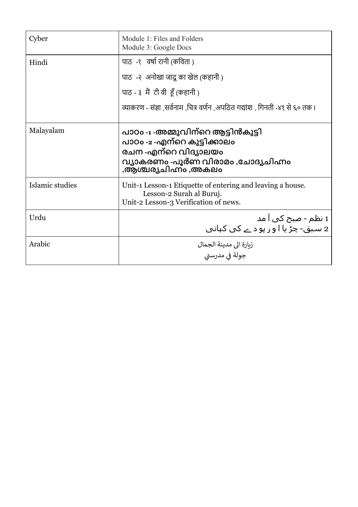| Cyber           | Module 1: Files and Folders<br>Module 3: Google Docs                                                                                                   |
|-----------------|--------------------------------------------------------------------------------------------------------------------------------------------------------|
| Hindi           | पाठ -१) वर्षा रानी (कविता)                                                                                                                             |
|                 | पाठ) -२) अनोखा जादू का खेल (कहानी)                                                                                                                     |
|                 | पाठ - ३ मैं टी वी हूँ (कहानी)                                                                                                                          |
|                 | व्याकरण - संज्ञा ,सर्वनाम ,चित्र वर्णन ,अपठित गद्यांश , गिनती -४१ से ६० तक ।                                                                           |
| Malayalam       | പാഠം -1 -അമ്മുവിന്റെ ആട്ടിൻകുട്ടി<br>പാഠം -2 -എന്റെ കുട്ടിക്കാലം<br>രചന -എന്റെ വിദ്യാലയം<br>വ്യാകരണം -പൂർണ വിരാമം ,ചോദ്യചിഹ്നം<br>,ആശ്ചര്യചിഹ്നം ,അകലം |
| Islamic studies | Unit-1 Lesson-1 Etiquette of entering and leaving a house.<br>Lesson-2 Surah al Buruj.<br>Unit-2 Lesson-3 Verification of news.                        |
| Urdu            | 1 نظم - صبح کی ا مد<br>2 سـبق- چڑ یا ا و ر پو د ـے کی کہانی                                                                                            |
| Arabic          | زيارة الى مدينة الجمال                                                                                                                                 |
|                 | جولة في مدرستى                                                                                                                                         |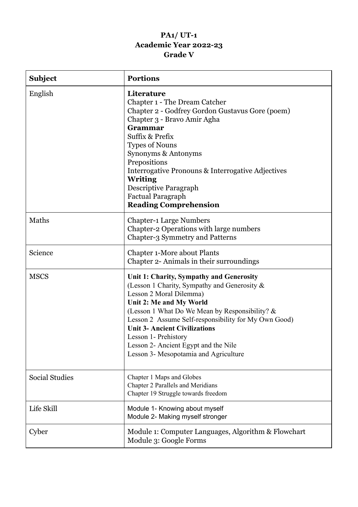# **PA1/ UT-1 Academic Year 2022-23 Grade V**

| <b>Subject</b>        | <b>Portions</b>                                                                                                                                                                                                                                                                                                                                                                                           |
|-----------------------|-----------------------------------------------------------------------------------------------------------------------------------------------------------------------------------------------------------------------------------------------------------------------------------------------------------------------------------------------------------------------------------------------------------|
| English               | Literature<br>Chapter 1 - The Dream Catcher<br>Chapter 2 - Godfrey Gordon Gustavus Gore (poem)<br>Chapter 3 - Bravo Amir Agha<br>Grammar<br>Suffix & Prefix<br><b>Types of Nouns</b><br>Synonyms & Antonyms<br>Prepositions<br>Interrogative Pronouns & Interrogative Adjectives<br><b>Writing</b><br>Descriptive Paragraph<br><b>Factual Paragraph</b><br><b>Reading Comprehension</b>                   |
| Maths                 | <b>Chapter-1 Large Numbers</b><br>Chapter-2 Operations with large numbers<br><b>Chapter-3 Symmetry and Patterns</b>                                                                                                                                                                                                                                                                                       |
| Science               | <b>Chapter 1-More about Plants</b><br>Chapter 2- Animals in their surroundings                                                                                                                                                                                                                                                                                                                            |
| <b>MSCS</b>           | Unit 1: Charity, Sympathy and Generosity<br>(Lesson 1 Charity, Sympathy and Generosity &<br>Lesson 2 Moral Dilemma)<br>Unit 2: Me and My World<br>(Lesson 1 What Do We Mean by Responsibility? &<br>Lesson 2 Assume Self-responsibility for My Own Good)<br><b>Unit 3- Ancient Civilizations</b><br>Lesson 1- Prehistory<br>Lesson 2- Ancient Egypt and the Nile<br>Lesson 3- Mesopotamia and Agriculture |
| <b>Social Studies</b> | Chapter 1 Maps and Globes<br><b>Chapter 2 Parallels and Meridians</b><br>Chapter 19 Struggle towards freedom                                                                                                                                                                                                                                                                                              |
| Life Skill            | Module 1- Knowing about myself<br>Module 2- Making myself stronger                                                                                                                                                                                                                                                                                                                                        |
| Cyber                 | Module 1: Computer Languages, Algorithm & Flowchart<br>Module 3: Google Forms                                                                                                                                                                                                                                                                                                                             |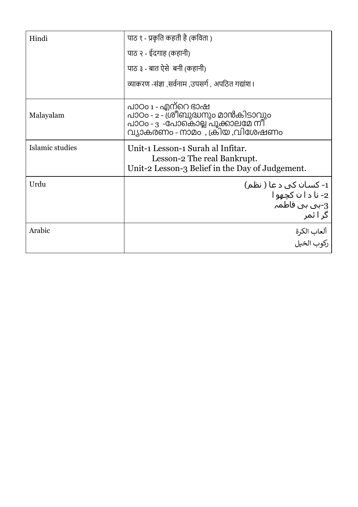| Hindi           | पाठ १ - प्रकृति कहती है (कविता )                                                                                                |
|-----------------|---------------------------------------------------------------------------------------------------------------------------------|
|                 | पाठ २ - ईदगाह (कहानी)                                                                                                           |
|                 | पाठ ३ - बात ऐसे  बनी (कहानी)                                                                                                    |
|                 | व्याकरण -संज्ञा ,सर्वनाम ,उपसर्ग , अपठित गद्यांश।                                                                               |
| Malayalam       | പാഠം 1 - എന്റെ ഭാഷ<br>പാഠം - 2 - ശ്രീബുദ്ധനും മാൻകിടാവും<br>പാഠം - 3 -പോകൊല്ല പൂക്കാലമേ നീ<br>വ്യാകരണം - നാമം  , ക്രിയ ,വിശേഷണം |
| Islamic studies | Unit-1 Lesson-1 Surah al Infitar.<br>Lesson-2 The real Bankrupt.<br>Unit-2 Lesson-3 Belief in the Day of Judgement.             |
| Urdu            | 1- کسان کې د عا ( نظم)<br>2- نا د ا ن کچهو ا<br>3-بي بي فاطمہ<br>گر ا ئمر                                                       |
| Arabic          | ألعاب الكرة<br>ركوب الخيل                                                                                                       |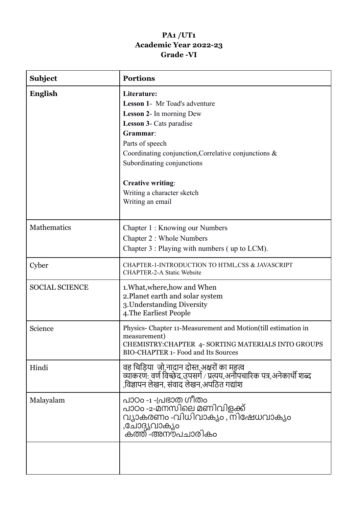### **PA1 /UT1 Academic Year 2022-23 Grade -VI**

| Subject               | <b>Portions</b>                                                                                                                                                                                                                                                                                                             |
|-----------------------|-----------------------------------------------------------------------------------------------------------------------------------------------------------------------------------------------------------------------------------------------------------------------------------------------------------------------------|
| English               | Literature:<br><b>Lesson 1- Mr Toad's adventure</b><br><b>Lesson 2-</b> In morning Dew<br><b>Lesson 3-</b> Cats paradise<br>Grammar:<br>Parts of speech<br>Coordinating conjunction, Correlative conjunctions &<br>Subordinating conjunctions<br><b>Creative writing:</b><br>Writing a character sketch<br>Writing an email |
| Mathematics           | Chapter 1: Knowing our Numbers<br>Chapter 2 : Whole Numbers<br>Chapter 3 : Playing with numbers (up to LCM).                                                                                                                                                                                                                |
| Cyber                 | CHAPTER-1-INTRODUCTION TO HTML,CSS & JAVASCRIPT<br><b>CHAPTER-2-A Static Website</b>                                                                                                                                                                                                                                        |
| <b>SOCIAL SCIENCE</b> | 1. What, where, how and When<br>2. Planet earth and solar system<br>3. Understanding Diversity<br>4. The Earliest People                                                                                                                                                                                                    |
| Science               | Physics-Chapter 11-Measurement and Motion(till estimation in<br>measurement)<br>CHEMISTRY: CHAPTER 4- SORTING MATERIALS INTO GROUPS<br><b>BIO-CHAPTER 1- Food and Its Sources</b>                                                                                                                                           |
| Hindi                 | वह चिड़िया  जो,नादान दोस्त,अक्षरों का महत्व                                                                                                                                                                                                                                                                                 |
| Malayalam             | പാഠo -1 -പ്രഭാത ഗീതം<br>പാഠം -2-മനസിലെ മണിവിളക്ക്<br>വ്യാകരണം -വിധിവാക്യം , നിഷേധവാക്യം<br>,ചോദ്യവാക്യം<br>കത്ത് -അനൗപചാരികം                                                                                                                                                                                                |
|                       |                                                                                                                                                                                                                                                                                                                             |

L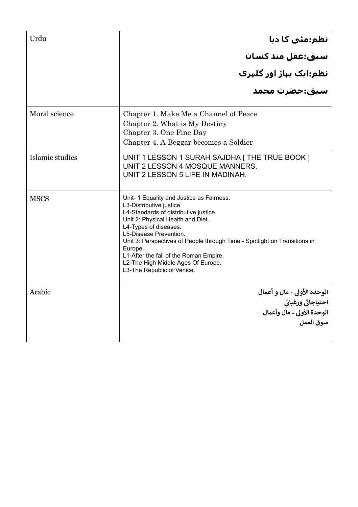| Urdu            |                                                                                                                                                                                                                                                                                                                                                                                                              |
|-----------------|--------------------------------------------------------------------------------------------------------------------------------------------------------------------------------------------------------------------------------------------------------------------------------------------------------------------------------------------------------------------------------------------------------------|
|                 |                                                                                                                                                                                                                                                                                                                                                                                                              |
|                 | نظم:مٹی کا دیا<br>سبق:عقل مند کسان<br>نظم:ایک پہاڑ اور گلہری<br>سبق:حضرت محمد                                                                                                                                                                                                                                                                                                                                |
|                 |                                                                                                                                                                                                                                                                                                                                                                                                              |
| Moral science   | Chapter 1. Make Me a Channel of Peace<br>Chapter 2. What is My Destiny<br>Chapter 3. One Fine Day<br>Chapter 4. A Beggar becomes a Soldier                                                                                                                                                                                                                                                                   |
| Islamic studies | UNIT 1 LESSON 1 SURAH SAJDHA   THE TRUE BOOK ]<br>UNIT 2 LESSON 4 MOSQUE MANNERS.<br>UNIT 2 LESSON 5 LIFE IN MADINAH.                                                                                                                                                                                                                                                                                        |
| <b>MSCS</b>     | Unit- 1 Equality and Justice as Fairness.<br>L3-Distributive justice.<br>L4-Standards of distributive justice.<br>Unit 2: Physical Health and Diet.<br>L4-Types of diseases.<br>L5-Disease Prevention.<br>Unit 3: Perspectives of People through Time - Spotlight on Transitions in<br>Europe.<br>L1-After the fall of the Roman Empire.<br>L2-The High Middle Ages Of Europe.<br>L3-The Republic of Venice. |
| Arabic          | الوحدة الأولى - مال و أعمال<br>احتياجاتي ورغباتي<br>الوحدة الأولى - مال وأعمال<br>سوق العمل                                                                                                                                                                                                                                                                                                                  |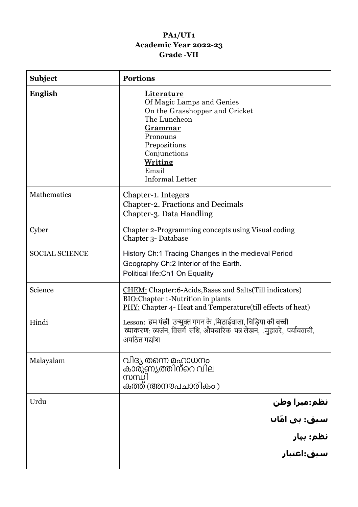### **PA1/UT1 Academic Year 2022-23 Grade -VII**

| <b>Subject</b>        | <b>Portions</b>                                                                                                                                                                                              |
|-----------------------|--------------------------------------------------------------------------------------------------------------------------------------------------------------------------------------------------------------|
| <b>English</b>        | Literature<br>Of Magic Lamps and Genies<br>On the Grasshopper and Cricket<br>The Luncheon<br><u>Grammar</u><br>Pronouns<br>Prepositions<br>Conjunctions<br><u>Writing</u><br>Email<br><b>Informal Letter</b> |
| Mathematics           | Chapter-1. Integers<br>Chapter-2. Fractions and Decimals<br>Chapter-3. Data Handling                                                                                                                         |
| Cyber                 | Chapter 2-Programming concepts using Visual coding<br>Chapter 3- Database                                                                                                                                    |
| <b>SOCIAL SCIENCE</b> | History Ch:1 Tracing Changes in the medieval Period<br>Geography Ch:2 Interior of the Earth.<br>Political life: Ch1 On Equality                                                                              |
| Science               | <b>CHEM</b> : Chapter:6-Acids, Bases and Salts (Till indicators)<br>BIO: Chapter 1-Nutrition in plants<br>PHY: Chapter 4- Heat and Temperature(till effects of heat)                                         |
| Hindi                 | Lesson: हम पंछी उन्मुक्त गगन के ,मिठाईवाला, चिड़िया की बच्ची<br>व्याकरण: व्यजंन, विसर्ग संधि, औपचारिक पत्र लेखन, .मुहावरे, पर्यायवाची,<br>अपठित गद्यांश                                                      |
| Malayalam             | വിദ്യ തന്നെ മഹാധനം<br>കാര്ുണ്യത്തിന്റെ വില<br>സന്ധി<br>കത്ത് (അനൗപചാരികം )                                                                                                                                   |
| Urdu                  |                                                                                                                                                                                                              |
|                       | نظم:میرا وطن<br>سبق: بی امّاں                                                                                                                                                                                |
|                       | نظم: بہار<br>سبق:اعتبار                                                                                                                                                                                      |
|                       |                                                                                                                                                                                                              |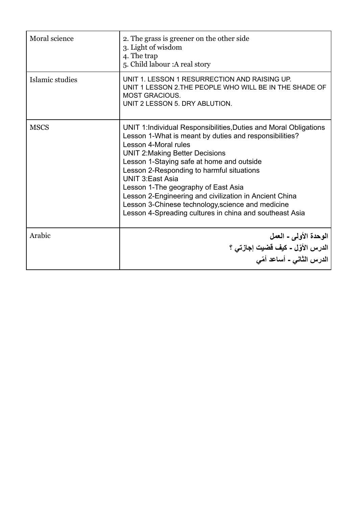| Moral science   | 2. The grass is greener on the other side<br>3. Light of wisdom<br>4. The trap<br>5. Child labour : A real story                                                                                                                                                                                                                                                                                                                                                                                                                   |
|-----------------|------------------------------------------------------------------------------------------------------------------------------------------------------------------------------------------------------------------------------------------------------------------------------------------------------------------------------------------------------------------------------------------------------------------------------------------------------------------------------------------------------------------------------------|
| Islamic studies | UNIT 1. LESSON 1 RESURRECTION AND RAISING UP.<br>UNIT 1 LESSON 2. THE PEOPLE WHO WILL BE IN THE SHADE OF<br><b>MOST GRACIOUS.</b><br>UNIT 2 LESSON 5. DRY ABLUTION.                                                                                                                                                                                                                                                                                                                                                                |
| <b>MSCS</b>     | UNIT 1:Individual Responsibilities, Duties and Moral Obligations<br>Lesson 1-What is meant by duties and responsibilities?<br>Lesson 4-Moral rules<br><b>UNIT 2: Making Better Decisions</b><br>Lesson 1-Staying safe at home and outside<br>Lesson 2-Responding to harmful situations<br><b>UNIT 3:East Asia</b><br>Lesson 1-The geography of East Asia<br>Lesson 2-Engineering and civilization in Ancient China<br>Lesson 3-Chinese technology, science and medicine<br>Lesson 4-Spreading cultures in china and southeast Asia |
| Arabic          | الوحدة الأولى ـ العمل<br>الدرس الأوّل - كيف قضيت إجازتي ؟<br>الدرس الثاني - أساعد أمّي                                                                                                                                                                                                                                                                                                                                                                                                                                             |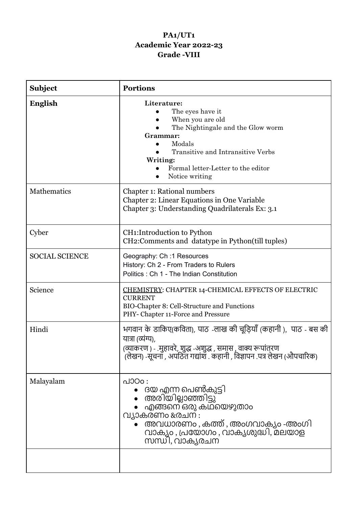### **PA1/UT1 Academic Year 2022-23 Grade -VIII**

| <b>Subject</b>        | <b>Portions</b>                                                                                                                                                                                                                      |
|-----------------------|--------------------------------------------------------------------------------------------------------------------------------------------------------------------------------------------------------------------------------------|
| English               | Literature:<br>The eyes have it<br>When you are old<br>The Nightingale and the Glow worm<br>Grammar:<br>Modals<br>$\bullet$<br>Transitive and Intransitive Verbs<br>Writing:<br>Formal letter-Letter to the editor<br>Notice writing |
| Mathematics           | Chapter 1: Rational numbers<br>Chapter 2: Linear Equations in One Variable<br>Chapter 3: Understanding Quadrilaterals Ex: 3.1                                                                                                        |
| Cyber                 | <b>CH1:Introduction to Python</b><br>CH2: Comments and datatype in Python(till tuples)                                                                                                                                               |
| <b>SOCIAL SCIENCE</b> | Geography: Ch: 1 Resources<br>History: Ch 2 - From Traders to Rulers<br>Politics: Ch 1 - The Indian Constitution                                                                                                                     |
| Science               | CHEMISTRY: CHAPTER 14-CHEMICAL EFFECTS OF ELECTRIC<br><b>CURRENT</b><br>BIO-Chapter 8: Cell-Structure and Functions<br>PHY- Chapter 11-Force and Pressure                                                                            |
| Hindi                 | भगवान के डाकिए(कविता), पाठ -लाख की चूड़ियाँ (कहानी ),  पाठ - बस की<br>यात्रा (व्यंग्य),<br>(व्याकरण ) - .मुहावरे, शुद्ध -अशुद्ध , समास , वाक्य रूपांतरण<br>(लेखन) -सूचना , अपठित गद्यांश . कहानी , विज्ञापन .पत्र लेखन (औपचारिक)     |
| Malayalam             | പാഠം :<br>ദയ എന്ന പെൺ്കുട്ടി<br>അരിയില്ലാഞ്ഞിട്ടു്<br>എങ്ങനെ ഒരു കഥയെഴുതാം<br>വ്യാകരണം രേചന :<br>അവധാരണം , കത്ത് , അംഗവാക്യം -അംഗി<br>വാക്യം , പ്രയോഗം , വാക്യശുദ്ധി, മലയാള<br>സന്ധി, വാകൃരചന                                        |
|                       |                                                                                                                                                                                                                                      |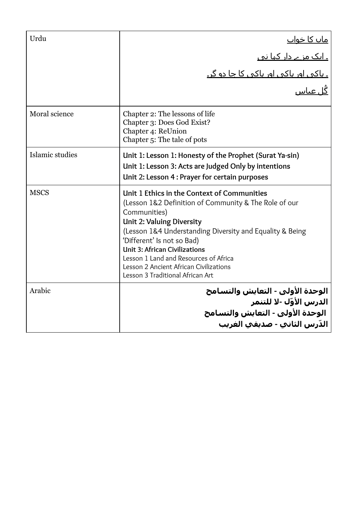| Urdu            |                                                                                                                                                                                                                                                                                                                                                                                                                   |
|-----------------|-------------------------------------------------------------------------------------------------------------------------------------------------------------------------------------------------------------------------------------------------------------------------------------------------------------------------------------------------------------------------------------------------------------------|
|                 | <u>ماں کا خواب</u><br>۔ ایک مزے دار کہا تھ<br>۔ باکہ ، اور باکہ ، اور باکہ ، کا جا دو گر۔<br>گُل عباس                                                                                                                                                                                                                                                                                                             |
|                 |                                                                                                                                                                                                                                                                                                                                                                                                                   |
|                 |                                                                                                                                                                                                                                                                                                                                                                                                                   |
| Moral science   | Chapter 2: The lessons of life<br>Chapter 3: Does God Exist?<br>Chapter 4: ReUnion<br>Chapter 5: The tale of pots                                                                                                                                                                                                                                                                                                 |
| Islamic studies | Unit 1: Lesson 1: Honesty of the Prophet (Surat Ya-sin)<br>Unit 1: Lesson 3: Acts are Judged Only by intentions<br>Unit 2: Lesson 4 : Prayer for certain purposes                                                                                                                                                                                                                                                 |
| <b>MSCS</b>     | Unit 1 Ethics in the Context of Communities<br>(Lesson 1&2 Definition of Community & The Role of our<br>Communities)<br><b>Unit 2: Valuing Diversity</b><br>(Lesson 1&4 Understanding Diversity and Equality & Being<br>'Different' Is not so Bad)<br><b>Unit 3: African Civilizations</b><br>Lesson 1 Land and Resources of Africa<br>Lesson 2 Ancient African Civilizations<br>Lesson 3 Traditional African Art |
| Arabic          | الوحدة الأولى - التعايش والتسامح<br>الديني الأمّا، -لا للتنم<br>الدرس الأوّل -لا للتنمر<br>الوحدة الأولى - التعايش والتسامح<br>الدّرس الثانب - صديقب الغريب                                                                                                                                                                                                                                                       |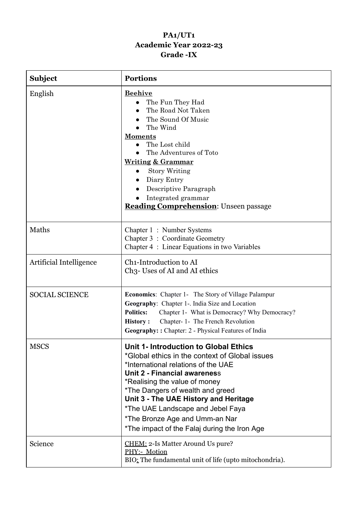# **PA1/UT1 Academic Year 2022-23 Grade -IX**

| <b>Subject</b>          | <b>Portions</b>                                                                                                                                                                                                                                                                                                                                                                                     |
|-------------------------|-----------------------------------------------------------------------------------------------------------------------------------------------------------------------------------------------------------------------------------------------------------------------------------------------------------------------------------------------------------------------------------------------------|
| English                 | <b>Beehive</b><br>The Fun They Had<br>The Road Not Taken<br>The Sound Of Music<br>The Wind<br><b>Moments</b><br>The Lost child<br>The Adventures of Toto<br><b>Writing &amp; Grammar</b><br><b>Story Writing</b><br>Diary Entry<br>Descriptive Paragraph<br>Integrated grammar<br><b>Reading Comprehension: Unseen passage</b>                                                                      |
| Maths                   | Chapter 1: Number Systems<br>Chapter 3 : Coordinate Geometry<br>Chapter 4 : Linear Equations in two Variables                                                                                                                                                                                                                                                                                       |
| Artificial Intelligence | Ch <sub>1</sub> -Introduction to AI<br>Ch <sub>3</sub> - Uses of AI and AI ethics                                                                                                                                                                                                                                                                                                                   |
| <b>SOCIAL SCIENCE</b>   | <b>Economics:</b> Chapter 1- The Story of Village Palampur<br>Geography: Chapter 1-. India Size and Location<br><b>Politics:</b><br>Chapter 1- What is Democracy? Why Democracy?<br>Chapter- 1- The French Revolution<br><b>History:</b><br>Geography:: Chapter: 2 - Physical Features of India                                                                                                     |
| <b>MSCS</b>             | Unit 1- Introduction to Global Ethics<br>*Global ethics in the context of Global issues<br>*International relations of the UAE<br>Unit 2 - Financial awareness<br>*Realising the value of money<br>*The Dangers of wealth and greed<br>Unit 3 - The UAE History and Heritage<br>*The UAE Landscape and Jebel Faya<br>*The Bronze Age and Umm-an Nar<br>*The impact of the Falaj during the Iron Age |
| Science                 | CHEM: 2-Is Matter Around Us pure?<br>PHY:- Motion<br>BIO: The fundamental unit of life (upto mitochondria).                                                                                                                                                                                                                                                                                         |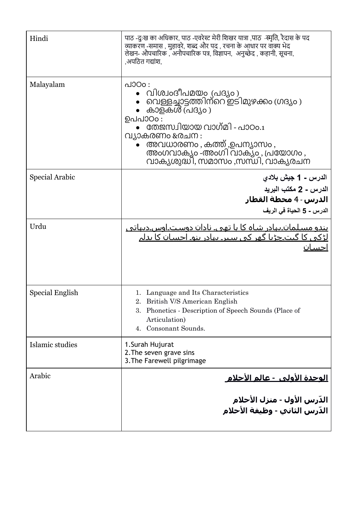| Hindi                 | पाठ -दुःख का अधिकार, पाठ -एवरेस्ट मेरी शिखर यात्रा ,पाठ -स्मृति, रैदास के पद<br>व्याकरण्-समास , मुहावरे, शब्द और पद , रचना के आधार पर वाक्य भेद<br>लेखन- औपचारिक , अनौपचारिक पत्र, विज्ञापन, अनुच्छेद , कहानी, सूचना,<br>,अपठित गद्यांश,                           |
|-----------------------|--------------------------------------------------------------------------------------------------------------------------------------------------------------------------------------------------------------------------------------------------------------------|
| Malayalam             | പാഠം:<br>വിശ്വംദീപമയം (പദ്യം )<br>വെള്ളച്ചാട്ടത്തിന്റെ ഇടിമുഴക്കം ഗ്രദ്യം)<br>കാളകൾ (പദ്യം )<br>ഉപപാഠാ:<br>തേജസ്ഥിയായ വാഗ്മി - പാഠം.1<br>വ്യാകരണം രേചന :<br>അവധാരണം, കത്ത് ,ഉപന്യാസം,<br>അംഗവാക്യം -അംഗി വാക്യം , പ്രയോഗം ,<br>വാക്യശുദ്ധി, സമാസം ,സന്ധി, വാക്യരചന |
| <b>Special Arabic</b> | الدرس ـ 1 جيش بلادي<br>الدرس ـ 2 مكتب البريد<br>الدرس - 4 محطة القطار<br>الدرس - 5 الحياة في الريف                                                                                                                                                                 |
| Urdu                  | <u>یندو مسـلمان۔بہادر شـاہ کا یا تھی۔ نادان دوسـت۔اوس۔دیہاتی </u><br><u>لڑکی کا گیت چڑیا گھر کی سیر۔ بہادر بنو۔ احسان کا بدلہ</u>                                                                                                                                  |
| Special English       | 1. Language and Its Characteristics<br>2. British V/S American English<br>Phonetics - Description of Speech Sounds (Place of<br>3.<br>Articulation)<br>Consonant Sounds.<br>4.                                                                                     |
| Islamic studies       | 1. Surah Hujurat<br>2. The seven grave sins<br>3. The Farewell pilgrimage                                                                                                                                                                                          |
| Arabic                | <u> الوحدة الأولى  - عالم الأحلام</u>                                                                                                                                                                                                                              |
|                       | الدّرس الأول - منزل الأحلام<br>الدّرس الثاني - وظيفة الأحلام                                                                                                                                                                                                       |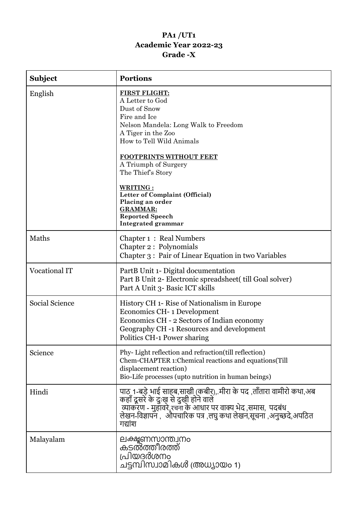# **PA1 /UT1 Academic Year 2022-23 Grade -X**

| <b>Subject</b>        | <b>Portions</b>                                                                                                                                                                                                                                                                                                                                                                       |
|-----------------------|---------------------------------------------------------------------------------------------------------------------------------------------------------------------------------------------------------------------------------------------------------------------------------------------------------------------------------------------------------------------------------------|
| English               | <b>FIRST FLIGHT:</b><br>A Letter to God<br>Dust of Snow<br>Fire and Ice<br>Nelson Mandela: Long Walk to Freedom<br>A Tiger in the Zoo<br>How to Tell Wild Animals<br>FOOTPRINTS WITHOUT FEET<br>A Triumph of Surgery<br>The Thief's Story<br>WRITING:<br>Letter of Complaint (Official)<br>Placing an order<br><b>GRAMMAR:</b><br><b>Reported Speech</b><br><b>Integrated grammar</b> |
| Maths                 | Chapter 1: Real Numbers<br>Chapter 2 : Polynomials<br>Chapter 3: Pair of Linear Equation in two Variables                                                                                                                                                                                                                                                                             |
| Vocational IT         | PartB Unit 1- Digital documentation<br>Part B Unit 2- Electronic spreadsheet( till Goal solver)<br>Part A Unit 3- Basic ICT skills                                                                                                                                                                                                                                                    |
| <b>Social Science</b> | History CH 1- Rise of Nationalism in Europe<br>Economics CH-1 Development<br>Economics CH - 2 Sectors of Indian economy<br>Geography CH -1 Resources and development<br>Politics CH-1 Power sharing                                                                                                                                                                                   |
| Science               | Phy-Light reflection and refraction (till reflection)<br>Chem-CHAPTER 1: Chemical reactions and equations (Till<br>displacement reaction)<br>Bio-Life processes (upto nutrition in human beings)                                                                                                                                                                                      |
| Hindi                 | पाठ 1-बड़े भाई साहब,साखी (कबीर),.मीरा के पद ,ताँतारा वामीरो कथा,अब<br>कहाँ दूसरे के दुःखु से दुखी होने वाले<br>ं व्याकरण - मुहावरे,रचना के आधार पर वाक्य भेद ,समास,  पदबंध<br>लेखन-विज्ञापन ,   औपचारिक पत्र ,लघु कथा लेखन,सूचना ,अनुच्छदे,अपठित<br>गद्यांश                                                                                                                           |
| Malayalam             | ലക്ഷൂണസാന്ത്വനം<br>കടൽത്തീരത്ത്<br>പ്രിയദർശനം<br>ചട്ടമ്പിസ്വാമികൾ (അധ്യായം 1)                                                                                                                                                                                                                                                                                                         |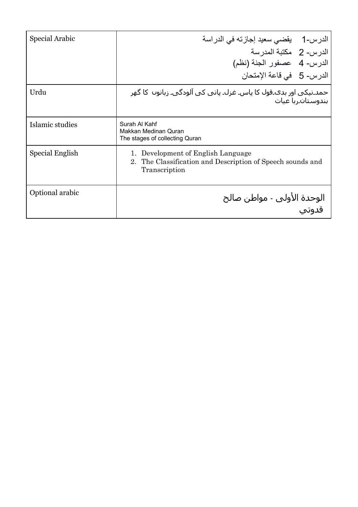| Special Arabic  | الدرس-1     بقضىي سعيد إجازته في الدراسة<br>الدر س- 2 مكتبة المدر سة<br>الدرس- 4 عصفور الجنة (نظم)<br>الدرس- 5 في قاعة الإمتحان |
|-----------------|---------------------------------------------------------------------------------------------------------------------------------|
| Urdu            | حمد۔نیکی اور بدک۔قول کا پاس۔ غزل۔ پانی کی آلودگی۔ زبانوں  کا گھر<br>بندوستان ربا عبات                                           |
| Islamic studies | Surah Al Kahf<br>Makkan Medinan Quran<br>The stages of collecting Quran                                                         |
| Special English | 1. Development of English Language<br>2. The Classification and Description of Speech sounds and<br>Transcription               |
| Optional arabic | الوحدة الأولى - مواطن صالح                                                                                                      |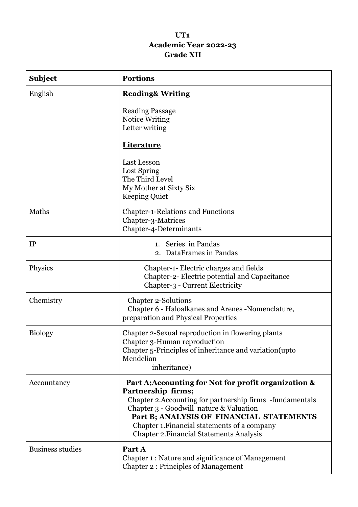#### **UT1 Academic Year 2022-23 Grade XII**

| <b>Subject</b>          | <b>Portions</b>                                                                                                                                                                                                                                                                                                                   |
|-------------------------|-----------------------------------------------------------------------------------------------------------------------------------------------------------------------------------------------------------------------------------------------------------------------------------------------------------------------------------|
| English                 | <b>Reading&amp; Writing</b>                                                                                                                                                                                                                                                                                                       |
|                         | <b>Reading Passage</b><br>Notice Writing<br>Letter writing                                                                                                                                                                                                                                                                        |
|                         | Literature                                                                                                                                                                                                                                                                                                                        |
|                         | Last Lesson<br>Lost Spring<br>The Third Level<br>My Mother at Sixty Six<br><b>Keeping Quiet</b>                                                                                                                                                                                                                                   |
| Maths                   | <b>Chapter-1-Relations and Functions</b><br>Chapter-3-Matrices<br>Chapter-4-Determinants                                                                                                                                                                                                                                          |
| IP                      | 1. Series in Pandas<br>2. DataFrames in Pandas                                                                                                                                                                                                                                                                                    |
| Physics                 | Chapter-1- Electric charges and fields<br>Chapter-2- Electric potential and Capacitance<br>Chapter-3 - Current Electricity                                                                                                                                                                                                        |
| Chemistry               | <b>Chapter 2-Solutions</b><br>Chapter 6 - Haloalkanes and Arenes - Nomenclature,<br>preparation and Physical Properties                                                                                                                                                                                                           |
| <b>Biology</b>          | Chapter 2-Sexual reproduction in flowering plants<br>Chapter 3-Human reproduction<br>Chapter 5-Principles of inheritance and variation(upto<br>Mendelian<br>inheritance)                                                                                                                                                          |
| Accountancy             | Part A; Accounting for Not for profit organization &<br>Partnership firms;<br>Chapter 2. Accounting for partnership firms -fundamentals<br>Chapter 3 - Goodwill nature & Valuation<br>Part B; ANALYSIS OF FINANCIAL STATEMENTS<br>Chapter 1. Financial statements of a company<br><b>Chapter 2. Financial Statements Analysis</b> |
| <b>Business studies</b> | Part A<br>Chapter 1 : Nature and significance of Management<br><b>Chapter 2: Principles of Management</b>                                                                                                                                                                                                                         |